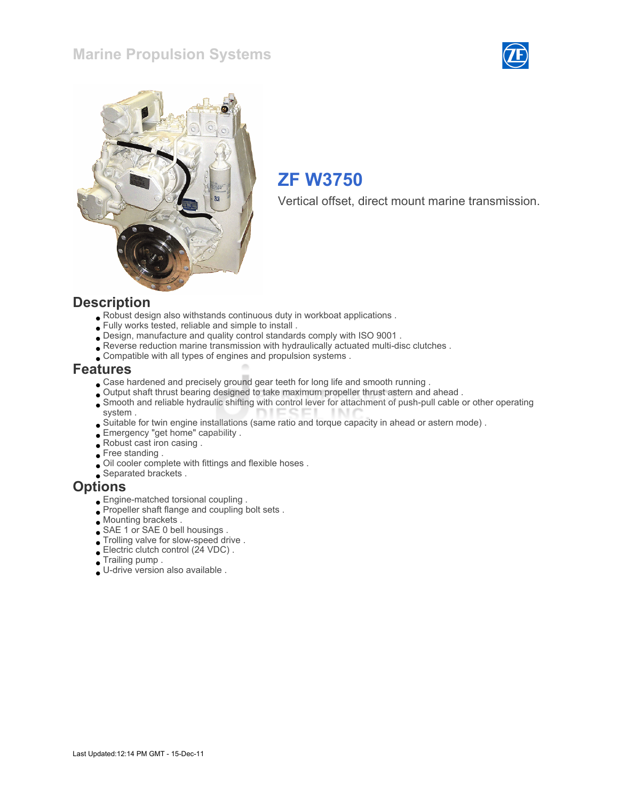## Marine Propulsion Systems





# ZF W3750

Vertical offset, direct mount marine transmission.

#### **Description**

- Robust design also withstands continuous duty in workboat applications .
- Fully works tested, reliable and simple to install .
- Design, manufacture and quality control standards comply with ISO 9001 .
- Reverse reduction marine transmission with hydraulically actuated multi-disc clutches .
- Compatible with all types of engines and propulsion systems .

#### Features

- Case hardened and precisely ground gear teeth for long life and smooth running .
- Output shaft thrust bearing designed to take maximum propeller thrust astern and ahead .
- Smooth and reliable hydraulic shifting with control lever for attachment of push-pull cable or other operating system .
- Suitable for twin engine installations (same ratio and torque capacity in ahead or astern mode) .
- Emergency "get home" capability .
- Robust cast iron casing .
- Free standing .
- Oil cooler complete with fittings and flexible hoses .
- Separated brackets .

#### **Options**

- Engine-matched torsional coupling .
- Propeller shaft flange and coupling bolt sets.
- Mounting brackets .
- SAE 1 or SAE 0 bell housings .
- Trolling valve for slow-speed drive .
- Electric clutch control (24 VDC) .
- Trailing pump .
- U-drive version also available .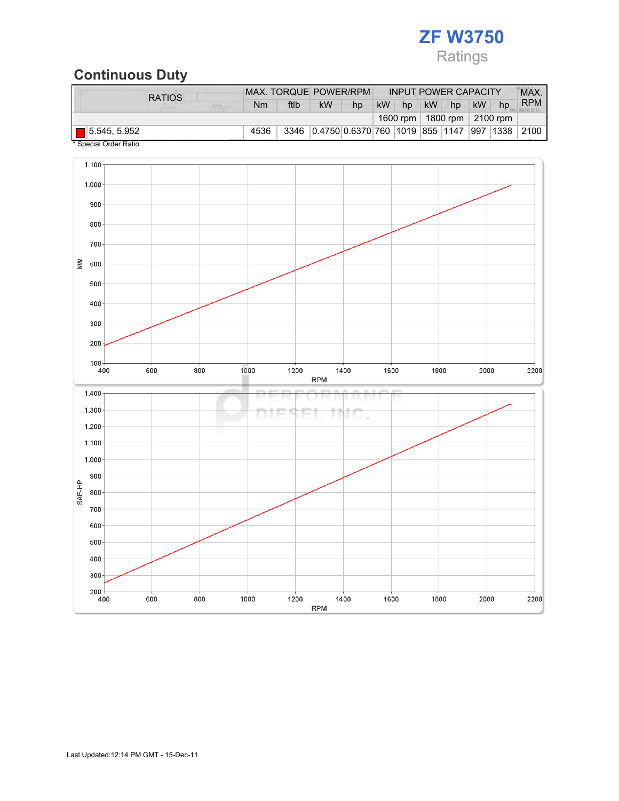

## Continuous Duty

| <b>RATIOS</b>               | MAX. TORQUE POWER/RPM<br><b>INPUT POWER CAPACITY</b> |      |                                               |    |    |    |           |    | MAX.      |                                |            |
|-----------------------------|------------------------------------------------------|------|-----------------------------------------------|----|----|----|-----------|----|-----------|--------------------------------|------------|
|                             | <b>Nm</b>                                            | ftlb | <b>kW</b>                                     | hp | kW | hp | <b>kW</b> | hp | <b>kW</b> | hp                             | <b>RPM</b> |
|                             |                                                      |      |                                               |    |    |    |           |    |           | 1600 rpm   1800 rpm   2100 rpm |            |
| $\blacksquare$ 5.545, 5.952 | 4536                                                 |      | 3346 0.4750 0.6370 760 1019 855 1147 997 1338 |    |    |    |           |    |           |                                | 2100       |

Special Order Ratio.

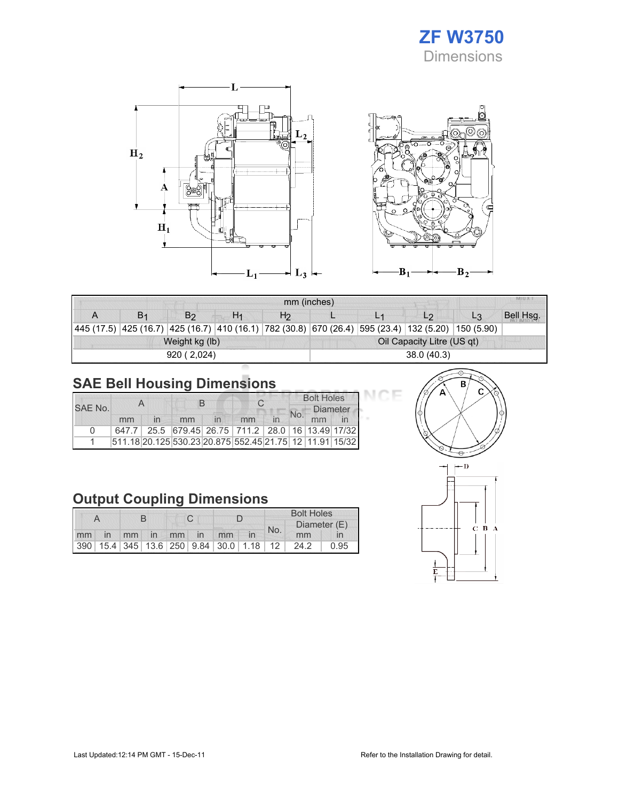





|            | MILLY VI<br>mm (inches) |                |                |                |                            |  |                                                                                               |                |           |  |
|------------|-------------------------|----------------|----------------|----------------|----------------------------|--|-----------------------------------------------------------------------------------------------|----------------|-----------|--|
|            |                         | B <sub>2</sub> | H <sub>1</sub> | H <sub>2</sub> |                            |  | L <sub>2</sub>                                                                                | L <sub>3</sub> | Bell Hsg. |  |
| 445 (17.5) |                         |                |                |                |                            |  | $ 425(16.7) $ 425 (16.7) $ 410(16.1) $ 782 (30.8) 670 (26.4) 595 (23.4) 132 (5.20) 150 (5.90) |                |           |  |
|            |                         | Weight kg (lb) |                |                | Oil Capacity Litre (US qt) |  |                                                                                               |                |           |  |
|            |                         | 920 (2,024)    |                |                | 38.0(40.3)                 |  |                                                                                               |                |           |  |

# SAE Bell Housing Dimensions

|         |    |  | B  |  |                                                         |  | <b>Bolt Holes</b> |                 |  |
|---------|----|--|----|--|---------------------------------------------------------|--|-------------------|-----------------|--|
| SAE No. |    |  |    |  |                                                         |  | No.               | <b>Diameter</b> |  |
|         | mm |  | mm |  | mm                                                      |  |                   | mm              |  |
| n       |    |  |    |  | 647.7 25.5 679.45 26.75 711.2 28.0 16 13.49 17/32       |  |                   |                 |  |
|         |    |  |    |  | 511.18 20.125 530.23 20.875 552.45 21.75 12 11.91 15/32 |  |                   |                 |  |

# Output Coupling Dimensions

|  |  |  |  |  |                   | <b>Bolt Holes</b>                       |  |              |      |      |
|--|--|--|--|--|-------------------|-----------------------------------------|--|--------------|------|------|
|  |  |  |  |  |                   |                                         |  | Diameter (E) |      |      |
|  |  |  |  |  | mm in mm in mm in | mm                                      |  | No.          | mm   |      |
|  |  |  |  |  |                   | 390 15.4 345 13.6 250 9.84 30.0 1.18 12 |  |              | 24.2 | 0.95 |



СE